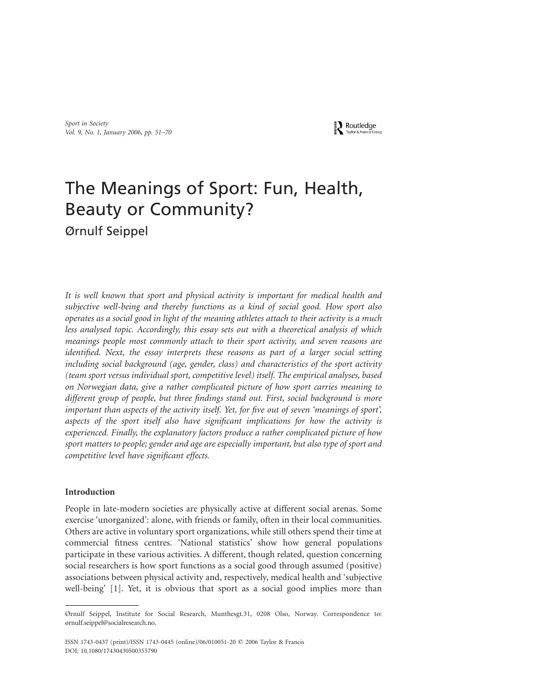

# The Meanings of Sport: Fun, Health, Beauty or Community?

Ørnulf Seippel

It is well known that sport and physical activity is important for medical health and subjective well-being and thereby functions as a kind of social good. How sport also operates as a social good in light of the meaning athletes attach to their activity is a much less analysed topic. Accordingly, this essay sets out with a theoretical analysis of which meanings people most commonly attach to their sport activity, and seven reasons are identified. Next, the essay interprets these reasons as part of a larger social setting including social background (age, gender, class) and characteristics of the sport activity (team sport versus individual sport, competitive level) itself. The empirical analyses, based on Norwegian data, give a rather complicated picture of how sport carries meaning to different group of people, but three findings stand out. First, social background is more important than aspects of the activity itself. Yet, for five out of seven 'meanings of sport', aspects of the sport itself also have significant implications for how the activity is experienced. Finally, the explanatory factors produce a rather complicated picture of how sport matters to people; gender and age are especially important, but also type of sport and competitive level have significant effects.

## Introduction

People in late-modern societies are physically active at different social arenas. Some exercise 'unorganized': alone, with friends or family, often in their local communities. Others are active in voluntary sport organizations, while still others spend their time at commercial fitness centres. 'National statistics' show how general populations participate in these various activities. A different, though related, question concerning social researchers is how sport functions as a social good through assumed (positive) associations between physical activity and, respectively, medical health and 'subjective well-being' [1]. Yet, it is obvious that sport as a social good implies more than

Ørnulf Seippel, Institute for Social Research, Munthesgt.31, 0208 Olso, Norway. Correspondence to: ørnulf.seippel@socialresearch.no.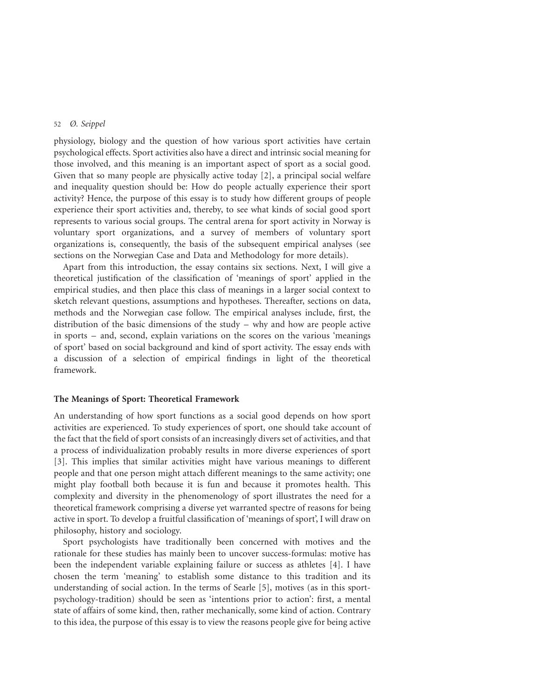physiology, biology and the question of how various sport activities have certain psychological effects. Sport activities also have a direct and intrinsic social meaning for those involved, and this meaning is an important aspect of sport as a social good. Given that so many people are physically active today [2], a principal social welfare and inequality question should be: How do people actually experience their sport activity? Hence, the purpose of this essay is to study how different groups of people experience their sport activities and, thereby, to see what kinds of social good sport represents to various social groups. The central arena for sport activity in Norway is voluntary sport organizations, and a survey of members of voluntary sport organizations is, consequently, the basis of the subsequent empirical analyses (see sections on the Norwegian Case and Data and Methodology for more details).

Apart from this introduction, the essay contains six sections. Next, I will give a theoretical justification of the classification of 'meanings of sport' applied in the empirical studies, and then place this class of meanings in a larger social context to sketch relevant questions, assumptions and hypotheses. Thereafter, sections on data, methods and the Norwegian case follow. The empirical analyses include, first, the distribution of the basic dimensions of the study – why and how are people active in sports – and, second, explain variations on the scores on the various 'meanings of sport' based on social background and kind of sport activity. The essay ends with a discussion of a selection of empirical findings in light of the theoretical framework.

#### The Meanings of Sport: Theoretical Framework

An understanding of how sport functions as a social good depends on how sport activities are experienced. To study experiences of sport, one should take account of the fact that the field of sport consists of an increasingly divers set of activities, and that a process of individualization probably results in more diverse experiences of sport [3]. This implies that similar activities might have various meanings to different people and that one person might attach different meanings to the same activity; one might play football both because it is fun and because it promotes health. This complexity and diversity in the phenomenology of sport illustrates the need for a theoretical framework comprising a diverse yet warranted spectre of reasons for being active in sport. To develop a fruitful classification of 'meanings of sport', I will draw on philosophy, history and sociology.

Sport psychologists have traditionally been concerned with motives and the rationale for these studies has mainly been to uncover success-formulas: motive has been the independent variable explaining failure or success as athletes [4]. I have chosen the term 'meaning' to establish some distance to this tradition and its understanding of social action. In the terms of Searle [5], motives (as in this sportpsychology-tradition) should be seen as 'intentions prior to action': first, a mental state of affairs of some kind, then, rather mechanically, some kind of action. Contrary to this idea, the purpose of this essay is to view the reasons people give for being active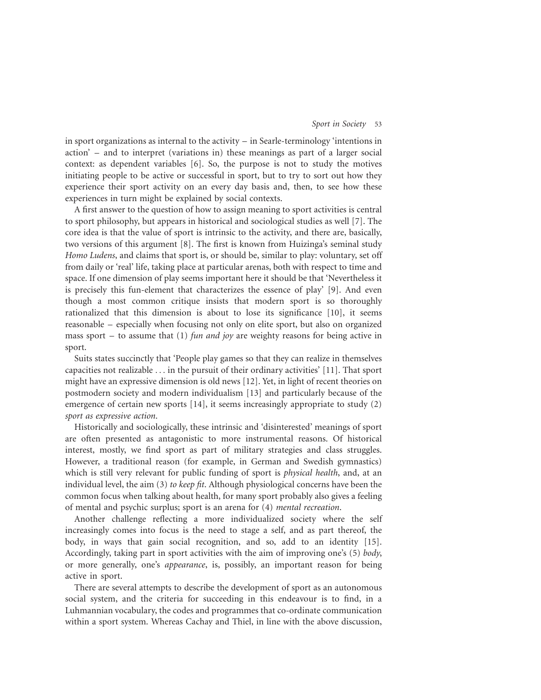in sport organizations as internal to the activity – in Searle-terminology 'intentions in action' – and to interpret (variations in) these meanings as part of a larger social context: as dependent variables [6]. So, the purpose is not to study the motives initiating people to be active or successful in sport, but to try to sort out how they experience their sport activity on an every day basis and, then, to see how these experiences in turn might be explained by social contexts.

A first answer to the question of how to assign meaning to sport activities is central to sport philosophy, but appears in historical and sociological studies as well [7]. The core idea is that the value of sport is intrinsic to the activity, and there are, basically, two versions of this argument [8]. The first is known from Huizinga's seminal study Homo Ludens, and claims that sport is, or should be, similar to play: voluntary, set off from daily or 'real' life, taking place at particular arenas, both with respect to time and space. If one dimension of play seems important here it should be that 'Nevertheless it is precisely this fun-element that characterizes the essence of play' [9]. And even though a most common critique insists that modern sport is so thoroughly rationalized that this dimension is about to lose its significance [10], it seems reasonable – especially when focusing not only on elite sport, but also on organized mass sport – to assume that (1) fun and joy are weighty reasons for being active in sport.

Suits states succinctly that 'People play games so that they can realize in themselves capacities not realizable ... in the pursuit of their ordinary activities' [11]. That sport might have an expressive dimension is old news [12]. Yet, in light of recent theories on postmodern society and modern individualism [13] and particularly because of the emergence of certain new sports [14], it seems increasingly appropriate to study (2) sport as expressive action.

Historically and sociologically, these intrinsic and 'disinterested' meanings of sport are often presented as antagonistic to more instrumental reasons. Of historical interest, mostly, we find sport as part of military strategies and class struggles. However, a traditional reason (for example, in German and Swedish gymnastics) which is still very relevant for public funding of sport is *physical health*, and, at an individual level, the aim  $(3)$  to keep fit. Although physiological concerns have been the common focus when talking about health, for many sport probably also gives a feeling of mental and psychic surplus; sport is an arena for (4) mental recreation.

Another challenge reflecting a more individualized society where the self increasingly comes into focus is the need to stage a self, and as part thereof, the body, in ways that gain social recognition, and so, add to an identity [15]. Accordingly, taking part in sport activities with the aim of improving one's (5) body, or more generally, one's appearance, is, possibly, an important reason for being active in sport.

There are several attempts to describe the development of sport as an autonomous social system, and the criteria for succeeding in this endeavour is to find, in a Luhmannian vocabulary, the codes and programmes that co-ordinate communication within a sport system. Whereas Cachay and Thiel, in line with the above discussion,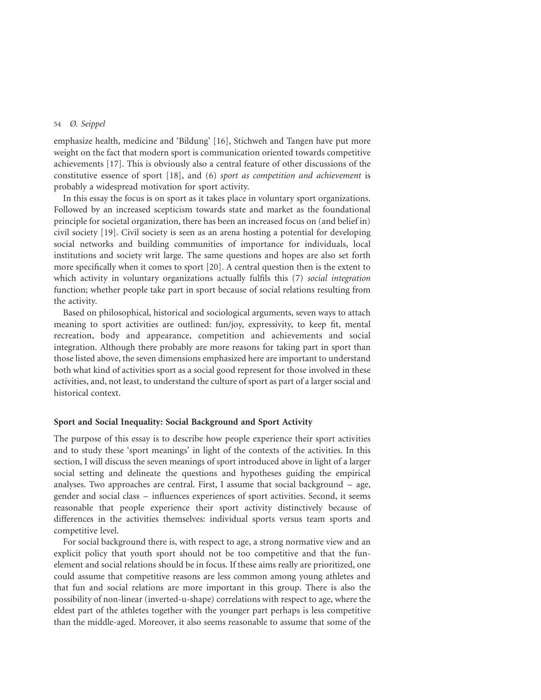emphasize health, medicine and 'Bildung' [16], Stichweh and Tangen have put more weight on the fact that modern sport is communication oriented towards competitive achievements [17]. This is obviously also a central feature of other discussions of the constitutive essence of sport [18], and (6) sport as competition and achievement is probably a widespread motivation for sport activity.

In this essay the focus is on sport as it takes place in voluntary sport organizations. Followed by an increased scepticism towards state and market as the foundational principle for societal organization, there has been an increased focus on (and belief in) civil society [19]. Civil society is seen as an arena hosting a potential for developing social networks and building communities of importance for individuals, local institutions and society writ large. The same questions and hopes are also set forth more specifically when it comes to sport [20]. A central question then is the extent to which activity in voluntary organizations actually fulfils this (7) social integration function; whether people take part in sport because of social relations resulting from the activity.

Based on philosophical, historical and sociological arguments, seven ways to attach meaning to sport activities are outlined: fun/joy, expressivity, to keep fit, mental recreation, body and appearance, competition and achievements and social integration. Although there probably are more reasons for taking part in sport than those listed above, the seven dimensions emphasized here are important to understand both what kind of activities sport as a social good represent for those involved in these activities, and, not least, to understand the culture of sport as part of a larger social and historical context.

## Sport and Social Inequality: Social Background and Sport Activity

The purpose of this essay is to describe how people experience their sport activities and to study these 'sport meanings' in light of the contexts of the activities. In this section, I will discuss the seven meanings of sport introduced above in light of a larger social setting and delineate the questions and hypotheses guiding the empirical analyses. Two approaches are central. First, I assume that social background – age, gender and social class – influences experiences of sport activities. Second, it seems reasonable that people experience their sport activity distinctively because of differences in the activities themselves: individual sports versus team sports and competitive level.

For social background there is, with respect to age, a strong normative view and an explicit policy that youth sport should not be too competitive and that the funelement and social relations should be in focus. If these aims really are prioritized, one could assume that competitive reasons are less common among young athletes and that fun and social relations are more important in this group. There is also the possibility of non-linear (inverted-u-shape) correlations with respect to age, where the eldest part of the athletes together with the younger part perhaps is less competitive than the middle-aged. Moreover, it also seems reasonable to assume that some of the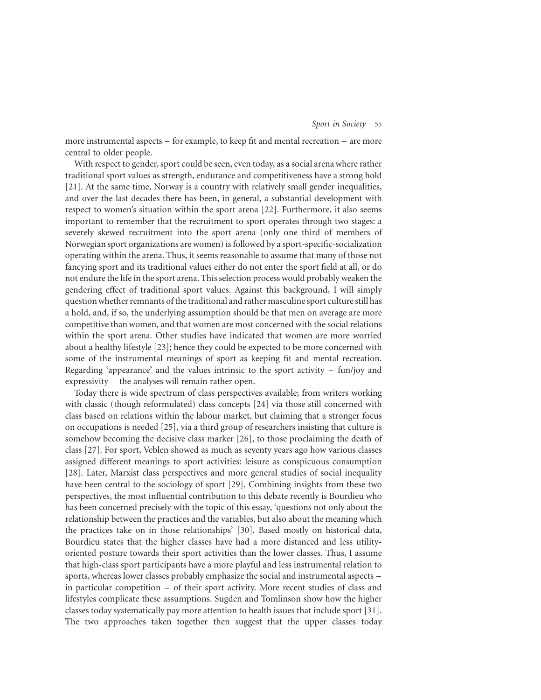more instrumental aspects – for example, to keep fit and mental recreation – are more central to older people.

With respect to gender, sport could be seen, even today, as a social arena where rather traditional sport values as strength, endurance and competitiveness have a strong hold [21]. At the same time, Norway is a country with relatively small gender inequalities, and over the last decades there has been, in general, a substantial development with respect to women's situation within the sport arena [22]. Furthermore, it also seems important to remember that the recruitment to sport operates through two stages: a severely skewed recruitment into the sport arena (only one third of members of Norwegian sport organizations are women) is followed by a sport-specific-socialization operating within the arena. Thus, it seems reasonable to assume that many of those not fancying sport and its traditional values either do not enter the sport field at all, or do not endure the life in the sport arena. This selection process would probably weaken the gendering effect of traditional sport values. Against this background, I will simply question whether remnants of the traditional and rather masculine sport culture still has a hold, and, if so, the underlying assumption should be that men on average are more competitive than women, and that women are most concerned with the social relations within the sport arena. Other studies have indicated that women are more worried about a healthy lifestyle [23]; hence they could be expected to be more concerned with some of the instrumental meanings of sport as keeping fit and mental recreation. Regarding 'appearance' and the values intrinsic to the sport activity – fun/joy and expressivity – the analyses will remain rather open.

Today there is wide spectrum of class perspectives available; from writers working with classic (though reformulated) class concepts [24] via those still concerned with class based on relations within the labour market, but claiming that a stronger focus on occupations is needed [25], via a third group of researchers insisting that culture is somehow becoming the decisive class marker [26], to those proclaiming the death of class [27]. For sport, Veblen showed as much as seventy years ago how various classes assigned different meanings to sport activities: leisure as conspicuous consumption [28]. Later, Marxist class perspectives and more general studies of social inequality have been central to the sociology of sport [29]. Combining insights from these two perspectives, the most influential contribution to this debate recently is Bourdieu who has been concerned precisely with the topic of this essay, 'questions not only about the relationship between the practices and the variables, but also about the meaning which the practices take on in those relationships' [30]. Based mostly on historical data, Bourdieu states that the higher classes have had a more distanced and less utilityoriented posture towards their sport activities than the lower classes. Thus, I assume that high-class sport participants have a more playful and less instrumental relation to sports, whereas lower classes probably emphasize the social and instrumental aspects – in particular competition – of their sport activity. More recent studies of class and lifestyles complicate these assumptions. Sugden and Tomlinson show how the higher classes today systematically pay more attention to health issues that include sport [31]. The two approaches taken together then suggest that the upper classes today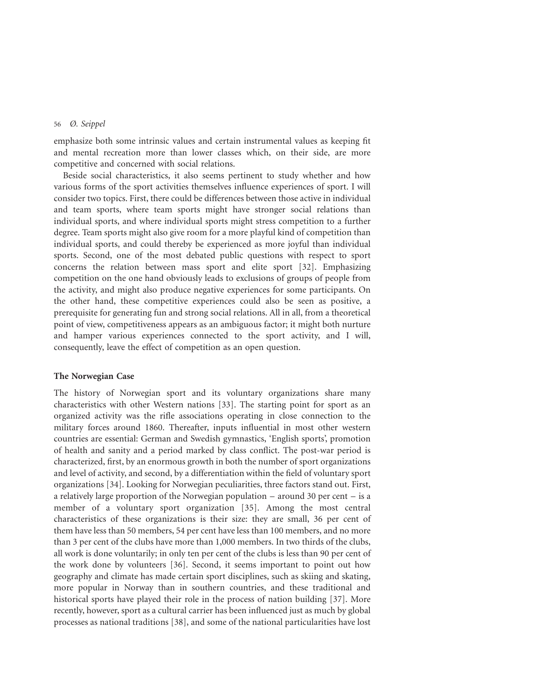emphasize both some intrinsic values and certain instrumental values as keeping fit and mental recreation more than lower classes which, on their side, are more competitive and concerned with social relations.

Beside social characteristics, it also seems pertinent to study whether and how various forms of the sport activities themselves influence experiences of sport. I will consider two topics. First, there could be differences between those active in individual and team sports, where team sports might have stronger social relations than individual sports, and where individual sports might stress competition to a further degree. Team sports might also give room for a more playful kind of competition than individual sports, and could thereby be experienced as more joyful than individual sports. Second, one of the most debated public questions with respect to sport concerns the relation between mass sport and elite sport [32]. Emphasizing competition on the one hand obviously leads to exclusions of groups of people from the activity, and might also produce negative experiences for some participants. On the other hand, these competitive experiences could also be seen as positive, a prerequisite for generating fun and strong social relations. All in all, from a theoretical point of view, competitiveness appears as an ambiguous factor; it might both nurture and hamper various experiences connected to the sport activity, and I will, consequently, leave the effect of competition as an open question.

#### The Norwegian Case

The history of Norwegian sport and its voluntary organizations share many characteristics with other Western nations [33]. The starting point for sport as an organized activity was the rifle associations operating in close connection to the military forces around 1860. Thereafter, inputs influential in most other western countries are essential: German and Swedish gymnastics, 'English sports', promotion of health and sanity and a period marked by class conflict. The post-war period is characterized, first, by an enormous growth in both the number of sport organizations and level of activity, and second, by a differentiation within the field of voluntary sport organizations [34]. Looking for Norwegian peculiarities, three factors stand out. First, a relatively large proportion of the Norwegian population – around 30 per cent – is a member of a voluntary sport organization [35]. Among the most central characteristics of these organizations is their size: they are small, 36 per cent of them have less than 50 members, 54 per cent have less than 100 members, and no more than 3 per cent of the clubs have more than 1,000 members. In two thirds of the clubs, all work is done voluntarily; in only ten per cent of the clubs is less than 90 per cent of the work done by volunteers [36]. Second, it seems important to point out how geography and climate has made certain sport disciplines, such as skiing and skating, more popular in Norway than in southern countries, and these traditional and historical sports have played their role in the process of nation building [37]. More recently, however, sport as a cultural carrier has been influenced just as much by global processes as national traditions [38], and some of the national particularities have lost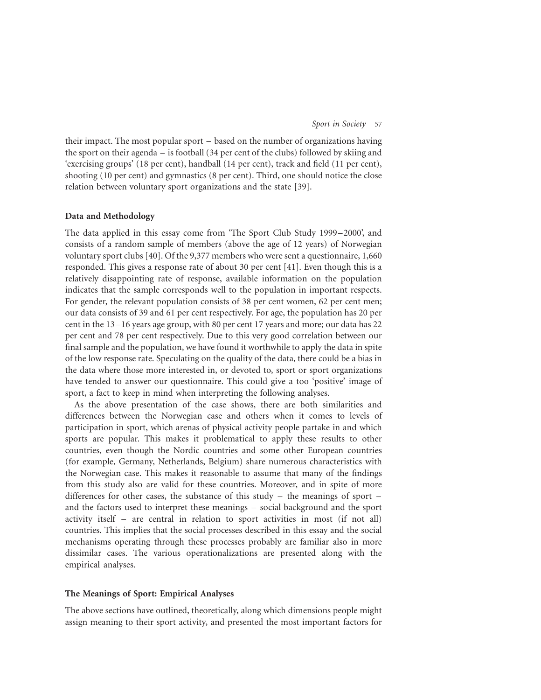their impact. The most popular sport – based on the number of organizations having the sport on their agenda – is football (34 per cent of the clubs) followed by skiing and 'exercising groups' (18 per cent), handball (14 per cent), track and field (11 per cent), shooting (10 per cent) and gymnastics (8 per cent). Third, one should notice the close relation between voluntary sport organizations and the state [39].

#### Data and Methodology

The data applied in this essay come from 'The Sport Club Study 1999–2000', and consists of a random sample of members (above the age of 12 years) of Norwegian voluntary sport clubs [40]. Of the 9,377 members who were sent a questionnaire, 1,660 responded. This gives a response rate of about 30 per cent [41]. Even though this is a relatively disappointing rate of response, available information on the population indicates that the sample corresponds well to the population in important respects. For gender, the relevant population consists of 38 per cent women, 62 per cent men; our data consists of 39 and 61 per cent respectively. For age, the population has 20 per cent in the 13–16 years age group, with 80 per cent 17 years and more; our data has 22 per cent and 78 per cent respectively. Due to this very good correlation between our final sample and the population, we have found it worthwhile to apply the data in spite of the low response rate. Speculating on the quality of the data, there could be a bias in the data where those more interested in, or devoted to, sport or sport organizations have tended to answer our questionnaire. This could give a too 'positive' image of sport, a fact to keep in mind when interpreting the following analyses.

As the above presentation of the case shows, there are both similarities and differences between the Norwegian case and others when it comes to levels of participation in sport, which arenas of physical activity people partake in and which sports are popular. This makes it problematical to apply these results to other countries, even though the Nordic countries and some other European countries (for example, Germany, Netherlands, Belgium) share numerous characteristics with the Norwegian case. This makes it reasonable to assume that many of the findings from this study also are valid for these countries. Moreover, and in spite of more differences for other cases, the substance of this study – the meanings of sport – and the factors used to interpret these meanings – social background and the sport activity itself – are central in relation to sport activities in most (if not all) countries. This implies that the social processes described in this essay and the social mechanisms operating through these processes probably are familiar also in more dissimilar cases. The various operationalizations are presented along with the empirical analyses.

## The Meanings of Sport: Empirical Analyses

The above sections have outlined, theoretically, along which dimensions people might assign meaning to their sport activity, and presented the most important factors for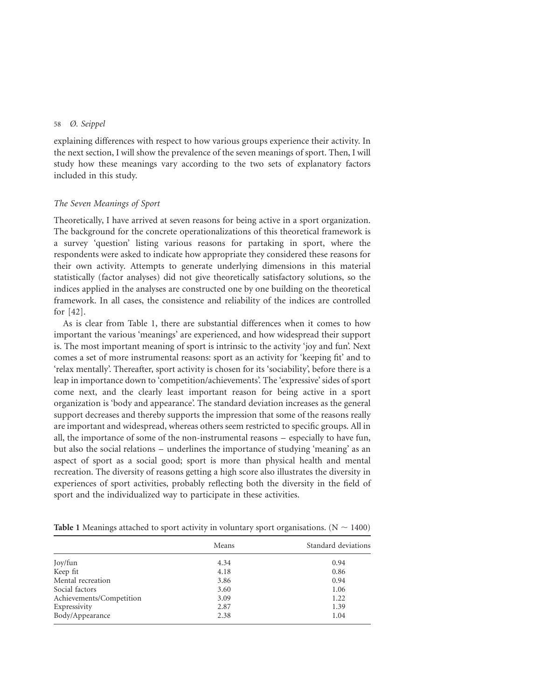explaining differences with respect to how various groups experience their activity. In the next section, I will show the prevalence of the seven meanings of sport. Then, I will study how these meanings vary according to the two sets of explanatory factors included in this study.

## The Seven Meanings of Sport

Theoretically, I have arrived at seven reasons for being active in a sport organization. The background for the concrete operationalizations of this theoretical framework is a survey 'question' listing various reasons for partaking in sport, where the respondents were asked to indicate how appropriate they considered these reasons for their own activity. Attempts to generate underlying dimensions in this material statistically (factor analyses) did not give theoretically satisfactory solutions, so the indices applied in the analyses are constructed one by one building on the theoretical framework. In all cases, the consistence and reliability of the indices are controlled for [42].

As is clear from Table 1, there are substantial differences when it comes to how important the various 'meanings' are experienced, and how widespread their support is. The most important meaning of sport is intrinsic to the activity 'joy and fun'. Next comes a set of more instrumental reasons: sport as an activity for 'keeping fit' and to 'relax mentally'. Thereafter, sport activity is chosen for its 'sociability', before there is a leap in importance down to 'competition/achievements'. The 'expressive' sides of sport come next, and the clearly least important reason for being active in a sport organization is 'body and appearance'. The standard deviation increases as the general support decreases and thereby supports the impression that some of the reasons really are important and widespread, whereas others seem restricted to specific groups. All in all, the importance of some of the non-instrumental reasons – especially to have fun, but also the social relations – underlines the importance of studying 'meaning' as an aspect of sport as a social good; sport is more than physical health and mental recreation. The diversity of reasons getting a high score also illustrates the diversity in experiences of sport activities, probably reflecting both the diversity in the field of sport and the individualized way to participate in these activities.

|                          | Means | Standard deviations |
|--------------------------|-------|---------------------|
| Joy/fun                  | 4.34  | 0.94                |
| Keep fit                 | 4.18  | 0.86                |
| Mental recreation        | 3.86  | 0.94                |
| Social factors           | 3.60  | 1.06                |
| Achievements/Competition | 3.09  | 1.22                |
| Expressivity             | 2.87  | 1.39                |
| Body/Appearance          | 2.38  | 1.04                |

Table 1 Meanings attached to sport activity in voluntary sport organisations. ( $N \sim 1400$ )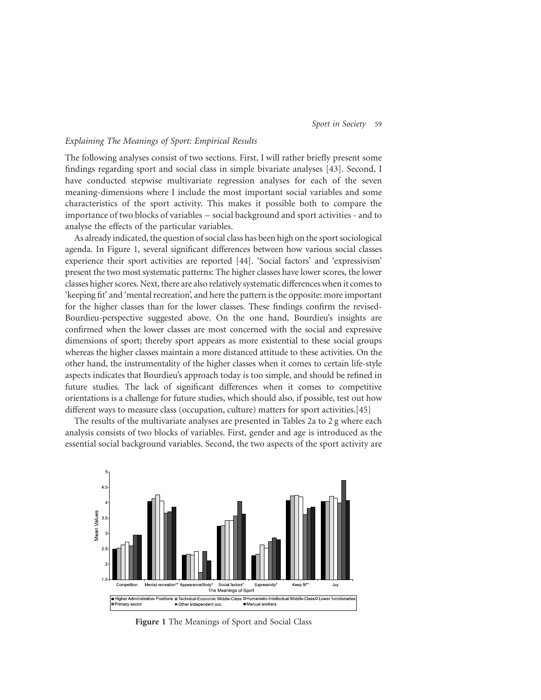## Explaining The Meanings of Sport: Empirical Results

The following analyses consist of two sections. First, I will rather briefly present some findings regarding sport and social class in simple bivariate analyses [43]. Second, I have conducted stepwise multivariate regression analyses for each of the seven meaning-dimensions where I include the most important social variables and some characteristics of the sport activity. This makes it possible both to compare the importance of two blocks of variables – social background and sport activities - and to analyse the effects of the particular variables.

As already indicated, the question of social class has been high on the sport sociological agenda. In Figure 1, several significant differences between how various social classes experience their sport activities are reported [44]. 'Social factors' and 'expressivism' present the two most systematic patterns: The higher classes have lower scores, the lower classes higher scores. Next, there are also relatively systematic differences when it comes to 'keeping fit' and 'mental recreation', and here the pattern is the opposite: more important for the higher classes than for the lower classes. These findings confirm the revised-Bourdieu-perspective suggested above. On the one hand, Bourdieu's insights are confirmed when the lower classes are most concerned with the social and expressive dimensions of sport; thereby sport appears as more existential to these social groups whereas the higher classes maintain a more distanced attitude to these activities. On the other hand, the instrumentality of the higher classes when it comes to certain life-style aspects indicates that Bourdieu's approach today is too simple, and should be refined in future studies. The lack of significant differences when it comes to competitive orientations is a challenge for future studies, which should also, if possible, test out how different ways to measure class (occupation, culture) matters for sport activities.[45]

The results of the multivariate analyses are presented in Tables 2a to 2 g where each analysis consists of two blocks of variables. First, gender and age is introduced as the essential social background variables. Second, the two aspects of the sport activity are



Figure 1 The Meanings of Sport and Social Class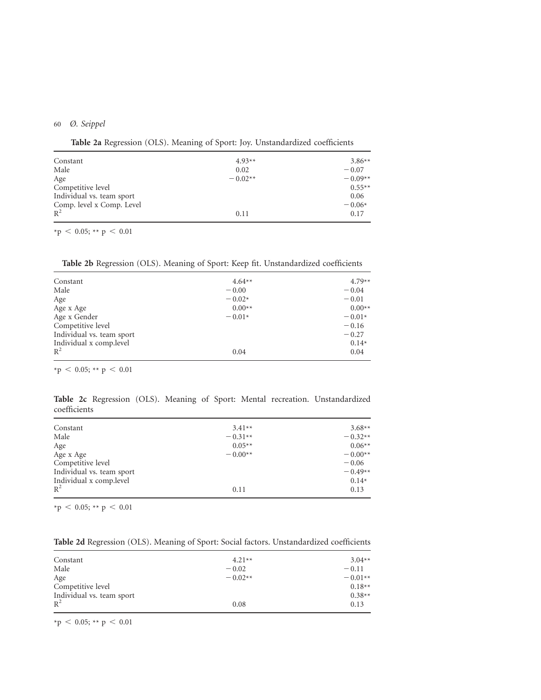Table 2a Regression (OLS). Meaning of Sport: Joy. Unstandardized coefficients

| Constant                  | $4.93**$  | $3.86**$  |
|---------------------------|-----------|-----------|
| Male                      | 0.02      | $-0.07$   |
| Age                       | $-0.02**$ | $-0.09**$ |
| Competitive level         |           | $0.55**$  |
| Individual vs. team sport |           | 0.06      |
| Comp. level x Comp. Level |           | $-0.06*$  |
| $R^2$                     | 0.11      | 0.17      |
|                           |           |           |

 $*p$  < 0.05;  $*$   $p$  < 0.01

Table 2b Regression (OLS). Meaning of Sport: Keep fit. Unstandardized coefficients

| Constant                  | $4.64**$ | $4.79**$ |
|---------------------------|----------|----------|
| Male                      | $-0.00$  | $-0.04$  |
| Age                       | $-0.02*$ | $-0.01$  |
| Age x Age                 | $0.00**$ | $0.00**$ |
| Age x Gender              | $-0.01*$ | $-0.01*$ |
| Competitive level         |          | $-0.16$  |
| Individual vs. team sport |          | $-0.27$  |
| Individual x comp. level  |          | $0.14*$  |
| $R^2$                     | 0.04     | 0.04     |

 $*$   $p$  < 0.05;  $*$   $p$  < 0.01

Table 2c Regression (OLS). Meaning of Sport: Mental recreation. Unstandardized coefficients

| Constant                  | $3.41**$  | $3.68**$  |
|---------------------------|-----------|-----------|
| Male                      | $-0.31**$ | $-0.32**$ |
| Age                       | $0.05**$  | $0.06**$  |
| Age x Age                 | $-0.00**$ | $-0.00**$ |
| Competitive level         |           | $-0.06$   |
| Individual vs. team sport |           | $-0.49**$ |
| Individual x comp.level   |           | $0.14*$   |
| $R^2$                     | 0.11      | 0.13      |
|                           |           |           |

 $*$   $p$  < 0.05;  $*$   $p$  < 0.01

|  | <b>Table 2d</b> Regression (OLS). Meaning of Sport: Social factors. Unstandardized coefficients |  |  |  |  |  |  |  |  |
|--|-------------------------------------------------------------------------------------------------|--|--|--|--|--|--|--|--|
|--|-------------------------------------------------------------------------------------------------|--|--|--|--|--|--|--|--|

| Constant                  | $4.21**$  | $3.04**$  |
|---------------------------|-----------|-----------|
| Male                      | $-0.02$   | $-0.11$   |
| Age                       | $-0.02**$ | $-0.01**$ |
| Competitive level         |           | $0.18**$  |
| Individual vs. team sport |           | $0.38**$  |
| $R^2$                     | 0.08      | 0.13      |

 $*$   $p$  < 0.05;  $*$   $p$  < 0.01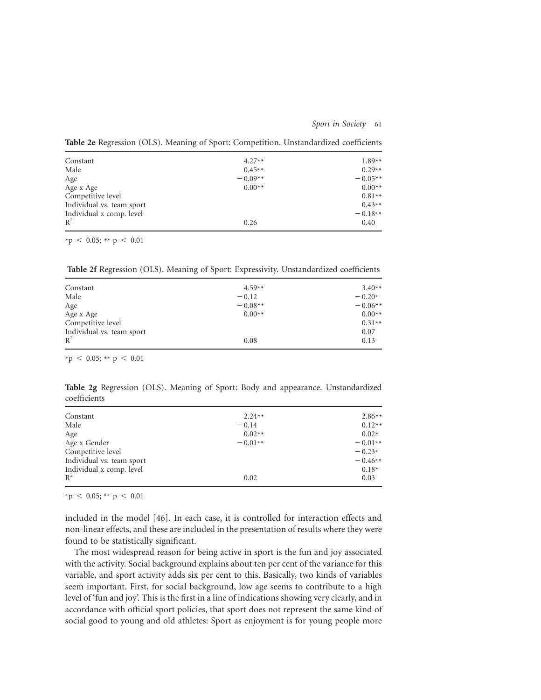| Constant                  | $4.27**$  | $1.89**$  |
|---------------------------|-----------|-----------|
| Male                      | $0.45**$  | $0.29**$  |
| Age                       | $-0.09**$ | $-0.05**$ |
| Age x Age                 | $0.00**$  | $0.00**$  |
| Competitive level         |           | $0.81**$  |
| Individual vs. team sport |           | $0.43**$  |
| Individual x comp. level  |           | $-0.18**$ |
| $R^2$                     | 0.26      | 0.40      |

Table 2e Regression (OLS). Meaning of Sport: Competition. Unstandardized coefficients

\*p < 0.05; \*\* p < 0.01

Table 2f Regression (OLS). Meaning of Sport: Expressivity. Unstandardized coefficients

| Constant                  | $4.59**$  | $3.40**$  |
|---------------------------|-----------|-----------|
| Male                      | $-0.12$   | $-0.20*$  |
| Age                       | $-0.08**$ | $-0.06**$ |
| Age x Age                 | $0.00**$  | $0.00**$  |
| Competitive level         |           | $0.31**$  |
| Individual vs. team sport |           | 0.07      |
| $R^2$                     | 0.08      | 0.13      |

\*p < 0.05; \*\* p < 0.01

Table 2g Regression (OLS). Meaning of Sport: Body and appearance. Unstandardized coefficients

| Constant                  | $2.24**$  | $2.86**$  |
|---------------------------|-----------|-----------|
| Male                      | $-0.14$   | $0.12**$  |
| Age                       | $0.02**$  | $0.02*$   |
| Age x Gender              | $-0.01**$ | $-0.01**$ |
| Competitive level         |           | $-0.23*$  |
| Individual vs. team sport |           | $-0.46**$ |
| Individual x comp. level  |           | $0.18*$   |
| $R^2$                     | 0.02      | 0.03      |

\*p < 0.05; \*\* p < 0.01

included in the model [46]. In each case, it is controlled for interaction effects and non-linear effects, and these are included in the presentation of results where they were found to be statistically significant.

The most widespread reason for being active in sport is the fun and joy associated with the activity. Social background explains about ten per cent of the variance for this variable, and sport activity adds six per cent to this. Basically, two kinds of variables seem important. First, for social background, low age seems to contribute to a high level of 'fun and joy'. This is the first in a line of indications showing very clearly, and in accordance with official sport policies, that sport does not represent the same kind of social good to young and old athletes: Sport as enjoyment is for young people more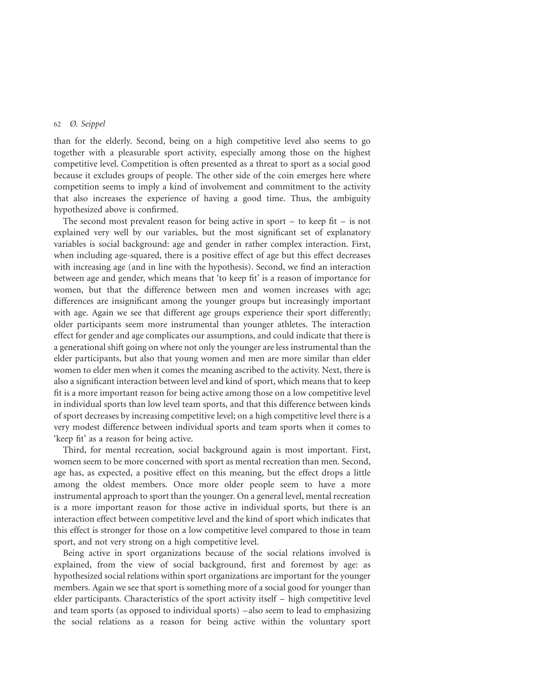than for the elderly. Second, being on a high competitive level also seems to go together with a pleasurable sport activity, especially among those on the highest competitive level. Competition is often presented as a threat to sport as a social good because it excludes groups of people. The other side of the coin emerges here where competition seems to imply a kind of involvement and commitment to the activity that also increases the experience of having a good time. Thus, the ambiguity hypothesized above is confirmed.

The second most prevalent reason for being active in sport  $-$  to keep fit  $-$  is not explained very well by our variables, but the most significant set of explanatory variables is social background: age and gender in rather complex interaction. First, when including age-squared, there is a positive effect of age but this effect decreases with increasing age (and in line with the hypothesis). Second, we find an interaction between age and gender, which means that 'to keep fit' is a reason of importance for women, but that the difference between men and women increases with age; differences are insignificant among the younger groups but increasingly important with age. Again we see that different age groups experience their sport differently; older participants seem more instrumental than younger athletes. The interaction effect for gender and age complicates our assumptions, and could indicate that there is a generational shift going on where not only the younger are less instrumental than the elder participants, but also that young women and men are more similar than elder women to elder men when it comes the meaning ascribed to the activity. Next, there is also a significant interaction between level and kind of sport, which means that to keep fit is a more important reason for being active among those on a low competitive level in individual sports than low level team sports, and that this difference between kinds of sport decreases by increasing competitive level; on a high competitive level there is a very modest difference between individual sports and team sports when it comes to 'keep fit' as a reason for being active.

Third, for mental recreation, social background again is most important. First, women seem to be more concerned with sport as mental recreation than men. Second, age has, as expected, a positive effect on this meaning, but the effect drops a little among the oldest members. Once more older people seem to have a more instrumental approach to sport than the younger. On a general level, mental recreation is a more important reason for those active in individual sports, but there is an interaction effect between competitive level and the kind of sport which indicates that this effect is stronger for those on a low competitive level compared to those in team sport, and not very strong on a high competitive level.

Being active in sport organizations because of the social relations involved is explained, from the view of social background, first and foremost by age: as hypothesized social relations within sport organizations are important for the younger members. Again we see that sport is something more of a social good for younger than elder participants. Characteristics of the sport activity itself – high competitive level and team sports (as opposed to individual sports) –also seem to lead to emphasizing the social relations as a reason for being active within the voluntary sport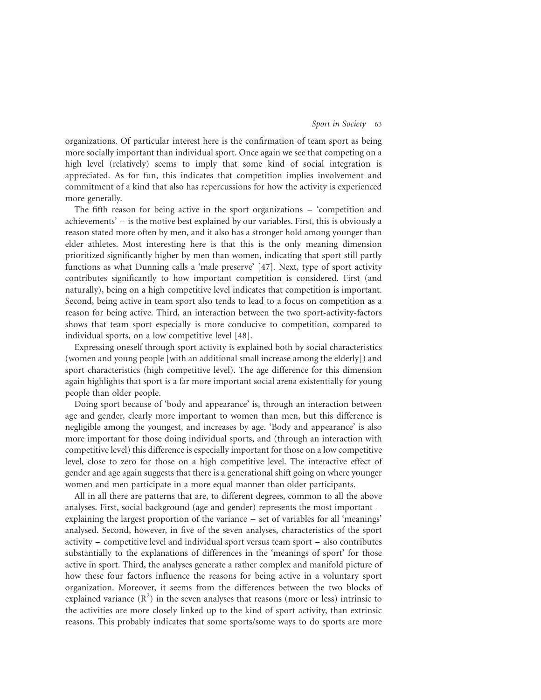organizations. Of particular interest here is the confirmation of team sport as being more socially important than individual sport. Once again we see that competing on a high level (relatively) seems to imply that some kind of social integration is appreciated. As for fun, this indicates that competition implies involvement and commitment of a kind that also has repercussions for how the activity is experienced more generally.

The fifth reason for being active in the sport organizations – 'competition and achievements' – is the motive best explained by our variables. First, this is obviously a reason stated more often by men, and it also has a stronger hold among younger than elder athletes. Most interesting here is that this is the only meaning dimension prioritized significantly higher by men than women, indicating that sport still partly functions as what Dunning calls a 'male preserve' [47]. Next, type of sport activity contributes significantly to how important competition is considered. First (and naturally), being on a high competitive level indicates that competition is important. Second, being active in team sport also tends to lead to a focus on competition as a reason for being active. Third, an interaction between the two sport-activity-factors shows that team sport especially is more conducive to competition, compared to individual sports, on a low competitive level [48].

Expressing oneself through sport activity is explained both by social characteristics (women and young people [with an additional small increase among the elderly]) and sport characteristics (high competitive level). The age difference for this dimension again highlights that sport is a far more important social arena existentially for young people than older people.

Doing sport because of 'body and appearance' is, through an interaction between age and gender, clearly more important to women than men, but this difference is negligible among the youngest, and increases by age. 'Body and appearance' is also more important for those doing individual sports, and (through an interaction with competitive level) this difference is especially important for those on a low competitive level, close to zero for those on a high competitive level. The interactive effect of gender and age again suggests that there is a generational shift going on where younger women and men participate in a more equal manner than older participants.

All in all there are patterns that are, to different degrees, common to all the above analyses. First, social background (age and gender) represents the most important – explaining the largest proportion of the variance – set of variables for all 'meanings' analysed. Second, however, in five of the seven analyses, characteristics of the sport activity – competitive level and individual sport versus team sport – also contributes substantially to the explanations of differences in the 'meanings of sport' for those active in sport. Third, the analyses generate a rather complex and manifold picture of how these four factors influence the reasons for being active in a voluntary sport organization. Moreover, it seems from the differences between the two blocks of explained variance  $(R^2)$  in the seven analyses that reasons (more or less) intrinsic to the activities are more closely linked up to the kind of sport activity, than extrinsic reasons. This probably indicates that some sports/some ways to do sports are more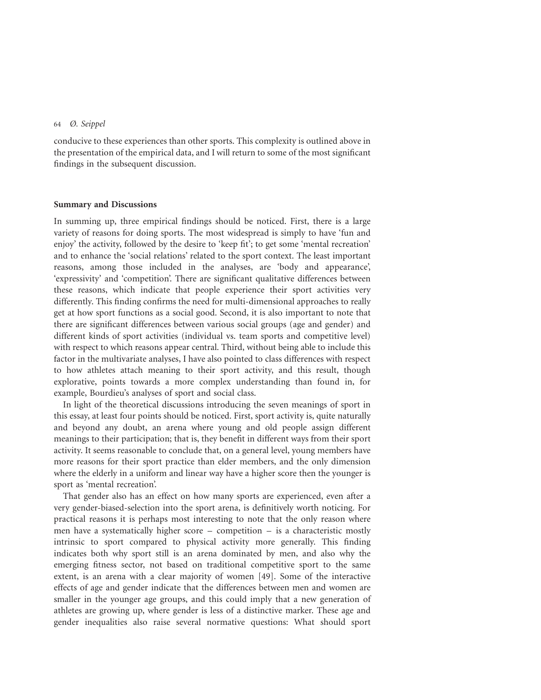conducive to these experiences than other sports. This complexity is outlined above in the presentation of the empirical data, and I will return to some of the most significant findings in the subsequent discussion.

#### Summary and Discussions

In summing up, three empirical findings should be noticed. First, there is a large variety of reasons for doing sports. The most widespread is simply to have 'fun and enjoy' the activity, followed by the desire to 'keep fit'; to get some 'mental recreation' and to enhance the 'social relations' related to the sport context. The least important reasons, among those included in the analyses, are 'body and appearance', 'expressivity' and 'competition'. There are significant qualitative differences between these reasons, which indicate that people experience their sport activities very differently. This finding confirms the need for multi-dimensional approaches to really get at how sport functions as a social good. Second, it is also important to note that there are significant differences between various social groups (age and gender) and different kinds of sport activities (individual vs. team sports and competitive level) with respect to which reasons appear central. Third, without being able to include this factor in the multivariate analyses, I have also pointed to class differences with respect to how athletes attach meaning to their sport activity, and this result, though explorative, points towards a more complex understanding than found in, for example, Bourdieu's analyses of sport and social class.

In light of the theoretical discussions introducing the seven meanings of sport in this essay, at least four points should be noticed. First, sport activity is, quite naturally and beyond any doubt, an arena where young and old people assign different meanings to their participation; that is, they benefit in different ways from their sport activity. It seems reasonable to conclude that, on a general level, young members have more reasons for their sport practice than elder members, and the only dimension where the elderly in a uniform and linear way have a higher score then the younger is sport as 'mental recreation'.

That gender also has an effect on how many sports are experienced, even after a very gender-biased-selection into the sport arena, is definitively worth noticing. For practical reasons it is perhaps most interesting to note that the only reason where men have a systematically higher score – competition – is a characteristic mostly intrinsic to sport compared to physical activity more generally. This finding indicates both why sport still is an arena dominated by men, and also why the emerging fitness sector, not based on traditional competitive sport to the same extent, is an arena with a clear majority of women [49]. Some of the interactive effects of age and gender indicate that the differences between men and women are smaller in the younger age groups, and this could imply that a new generation of athletes are growing up, where gender is less of a distinctive marker. These age and gender inequalities also raise several normative questions: What should sport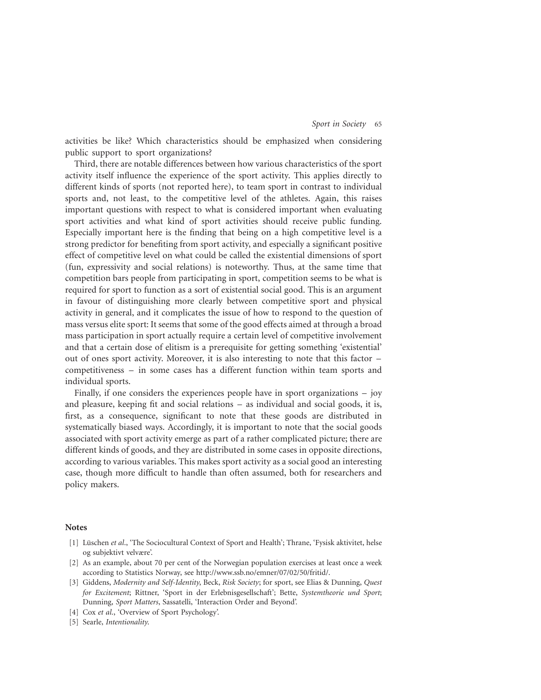activities be like? Which characteristics should be emphasized when considering public support to sport organizations?

Third, there are notable differences between how various characteristics of the sport activity itself influence the experience of the sport activity. This applies directly to different kinds of sports (not reported here), to team sport in contrast to individual sports and, not least, to the competitive level of the athletes. Again, this raises important questions with respect to what is considered important when evaluating sport activities and what kind of sport activities should receive public funding. Especially important here is the finding that being on a high competitive level is a strong predictor for benefiting from sport activity, and especially a significant positive effect of competitive level on what could be called the existential dimensions of sport (fun, expressivity and social relations) is noteworthy. Thus, at the same time that competition bars people from participating in sport, competition seems to be what is required for sport to function as a sort of existential social good. This is an argument in favour of distinguishing more clearly between competitive sport and physical activity in general, and it complicates the issue of how to respond to the question of mass versus elite sport: It seems that some of the good effects aimed at through a broad mass participation in sport actually require a certain level of competitive involvement and that a certain dose of elitism is a prerequisite for getting something 'existential' out of ones sport activity. Moreover, it is also interesting to note that this factor – competitiveness – in some cases has a different function within team sports and individual sports.

Finally, if one considers the experiences people have in sport organizations – joy and pleasure, keeping fit and social relations – as individual and social goods, it is, first, as a consequence, significant to note that these goods are distributed in systematically biased ways. Accordingly, it is important to note that the social goods associated with sport activity emerge as part of a rather complicated picture; there are different kinds of goods, and they are distributed in some cases in opposite directions, according to various variables. This makes sport activity as a social good an interesting case, though more difficult to handle than often assumed, both for researchers and policy makers.

#### **Notes**

- [1] Lüschen et al., 'The Sociocultural Context of Sport and Health'; Thrane, 'Fysisk aktivitet, helse og subjektivt velvære'.
- [2] As an example, about 70 per cent of the Norwegian population exercises at least once a week according to Statistics Norway, see http://www.ssb.no/emner/07/02/50/fritid/.
- [3] Giddens, Modernity and Self-Identity, Beck, Risk Society; for sport, see Elias & Dunning, Quest for Excitement; Rittner, 'Sport in der Erlebnisgesellschaft'; Bette, Systemtheorie und Sport; Dunning, Sport Matters, Sassatelli, 'Interaction Order and Beyond'.
- [4] Cox et al., 'Overview of Sport Psychology'.
- [5] Searle, Intentionality.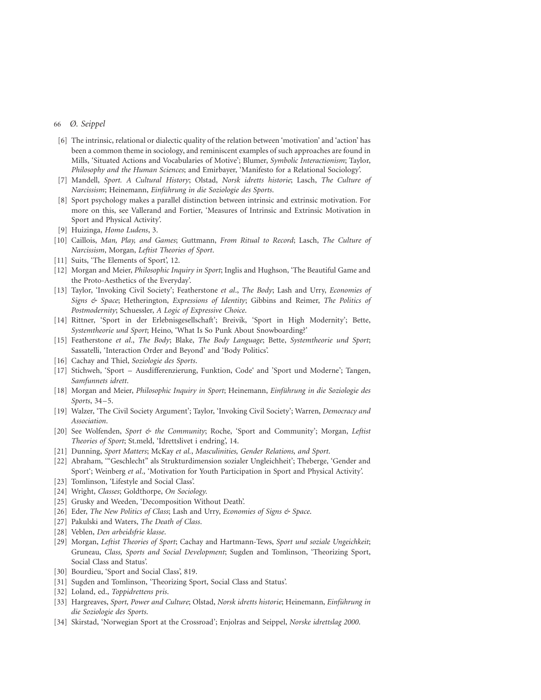- [6] The intrinsic, relational or dialectic quality of the relation between 'motivation' and 'action' has been a common theme in sociology, and reminiscent examples of such approaches are found in Mills, 'Situated Actions and Vocabularies of Motive'; Blumer, Symbolic Interactionism; Taylor, Philosophy and the Human Sciences; and Emirbayer, 'Manifesto for a Relational Sociology'.
- [7] Mandell, Sport. A Cultural History; Olstad, Norsk idretts historie; Lasch, The Culture of Narcissism; Heinemann, Einführung in die Soziologie des Sports.
- [8] Sport psychology makes a parallel distinction between intrinsic and extrinsic motivation. For more on this, see Vallerand and Fortier, 'Measures of Intrinsic and Extrinsic Motivation in Sport and Physical Activity'.
- [9] Huizinga, Homo Ludens, 3.
- [10] Caillois, Man, Play, and Games; Guttmann, From Ritual to Record; Lasch, The Culture of Narcissism, Morgan, Leftist Theories of Sport.
- [11] Suits, 'The Elements of Sport', 12.
- [12] Morgan and Meier, Philosophic Inquiry in Sport; Inglis and Hughson, 'The Beautiful Game and the Proto-Aesthetics of the Everyday'.
- [13] Taylor, 'Invoking Civil Society'; Featherstone et al., The Body; Lash and Urry, Economies of Signs & Space; Hetherington, Expressions of Identity; Gibbins and Reimer, The Politics of Postmodernity; Schuessler, A Logic of Expressive Choice.
- [14] Rittner, 'Sport in der Erlebnisgesellschaft'; Breivik, 'Sport in High Modernity'; Bette, Systemtheorie und Sport; Heino, 'What Is So Punk About Snowboarding?'
- [15] Featherstone et al., The Body; Blake, The Body Language; Bette, Systemtheorie und Sport; Sassatelli, 'Interaction Order and Beyond' and 'Body Politics'.
- [16] Cachay and Thiel, Soziologie des Sports.
- [17] Stichweh, 'Sport Ausdifferenzierung, Funktion, Code' and 'Sport und Moderne'; Tangen, Samfunnets idrett.
- [18] Morgan and Meier, Philosophic Inquiry in Sport; Heinemann, Einführung in die Soziologie des Sports, 34–5.
- [19] Walzer, 'The Civil Society Argument'; Taylor, 'Invoking Civil Society'; Warren, Democracy and Association.
- [20] See Wolfenden, Sport & the Community; Roche, 'Sport and Community'; Morgan, Leftist Theories of Sport; St.meld, 'Idrettslivet i endring', 14.
- [21] Dunning, Sport Matters; McKay et al., Masculinities, Gender Relations, and Sport.
- [22] Abraham, '"Geschlecht" als Strukturdimension sozialer Ungleichheit'; Theberge, 'Gender and Sport'; Weinberg et al., 'Motivation for Youth Participation in Sport and Physical Activity'.
- [23] Tomlinson, 'Lifestyle and Social Class'.
- [24] Wright, Classes; Goldthorpe, On Sociology.
- [25] Grusky and Weeden, 'Decomposition Without Death'.
- [26] Eder, The New Politics of Class; Lash and Urry, Economies of Signs & Space.
- [27] Pakulski and Waters, The Death of Class.
- [28] Veblen, Den arbeidsfrie klasse.
- [29] Morgan, Leftist Theories of Sport; Cachay and Hartmann-Tews, Sport und soziale Ungeichkeit; Gruneau, Class, Sports and Social Development; Sugden and Tomlinson, 'Theorizing Sport, Social Class and Status'.
- [30] Bourdieu, 'Sport and Social Class', 819.
- [31] Sugden and Tomlinson, 'Theorizing Sport, Social Class and Status'.
- [32] Loland, ed., Toppidrettens pris.
- [33] Hargreaves, Sport, Power and Culture; Olstad, Norsk idretts historie; Heinemann, Einführung in die Soziologie des Sports.
- [34] Skirstad, 'Norwegian Sport at the Crossroad'; Enjolras and Seippel, Norske idrettslag 2000.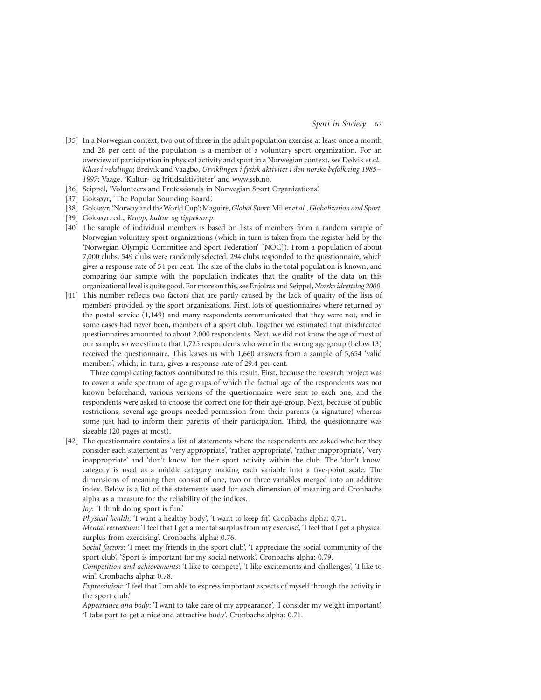- [35] In a Norwegian context, two out of three in the adult population exercise at least once a month and 28 per cent of the population is a member of a voluntary sport organization. For an overview of participation in physical activity and sport in a Norwegian context, see Dølvik et al., Kluss i vekslinga; Breivik and Vaagbø, Utviklingen i fysisk aktivitet i den norske befolkning 1985 – 1997; Vaage, 'Kultur- og fritidsaktiviteter' and www.ssb.no.
- [36] Seippel, 'Volunteers and Professionals in Norwegian Sport Organizations'.
- [37] Goksøyr, 'The Popular Sounding Board'.
- [38] Goksøyr, 'Norway and the World Cup'; Maguire, Global Sport; Miller et al., Globalization and Sport.
- [39] Goksøyr. ed., Kropp, kultur og tippekamp.
- [40] The sample of individual members is based on lists of members from a random sample of Norwegian voluntary sport organizations (which in turn is taken from the register held by the 'Norwegian Olympic Committee and Sport Federation' [NOC]). From a population of about 7,000 clubs, 549 clubs were randomly selected. 294 clubs responded to the questionnaire, which gives a response rate of 54 per cent. The size of the clubs in the total population is known, and comparing our sample with the population indicates that the quality of the data on this organizational level is quite good. For more on this, see Enjolras and Seippel, Norske idrettslag 2000.
- [41] This number reflects two factors that are partly caused by the lack of quality of the lists of members provided by the sport organizations. First, lots of questionnaires where returned by the postal service (1,149) and many respondents communicated that they were not, and in some cases had never been, members of a sport club. Together we estimated that misdirected questionnaires amounted to about 2,000 respondents. Next, we did not know the age of most of our sample, so we estimate that 1,725 respondents who were in the wrong age group (below 13) received the questionnaire. This leaves us with 1,660 answers from a sample of 5,654 'valid members', which, in turn, gives a response rate of 29.4 per cent.

Three complicating factors contributed to this result. First, because the research project was to cover a wide spectrum of age groups of which the factual age of the respondents was not known beforehand, various versions of the questionnaire were sent to each one, and the respondents were asked to choose the correct one for their age-group. Next, because of public restrictions, several age groups needed permission from their parents (a signature) whereas some just had to inform their parents of their participation. Third, the questionnaire was sizeable (20 pages at most).

[42] The questionnaire contains a list of statements where the respondents are asked whether they consider each statement as 'very appropriate', 'rather appropriate', 'rather inappropriate', 'very inappropriate' and 'don't know' for their sport activity within the club. The 'don't know' category is used as a middle category making each variable into a five-point scale. The dimensions of meaning then consist of one, two or three variables merged into an additive index. Below is a list of the statements used for each dimension of meaning and Cronbachs alpha as a measure for the reliability of the indices.

Joy: 'I think doing sport is fun.'

Physical health: 'I want a healthy body', 'I want to keep fit'. Cronbachs alpha: 0.74.

Mental recreation: 'I feel that I get a mental surplus from my exercise', 'I feel that I get a physical surplus from exercising'. Cronbachs alpha: 0.76.

Social factors: 'I meet my friends in the sport club', 'I appreciate the social community of the sport club', 'Sport is important for my social network'. Cronbachs alpha: 0.79.

Competition and achievements: 'I like to compete', 'I like excitements and challenges', 'I like to win'. Cronbachs alpha: 0.78.

Expressivism: 'I feel that I am able to express important aspects of myself through the activity in the sport club.'

Appearance and body: 'I want to take care of my appearance', 'I consider my weight important', 'I take part to get a nice and attractive body'. Cronbachs alpha: 0.71.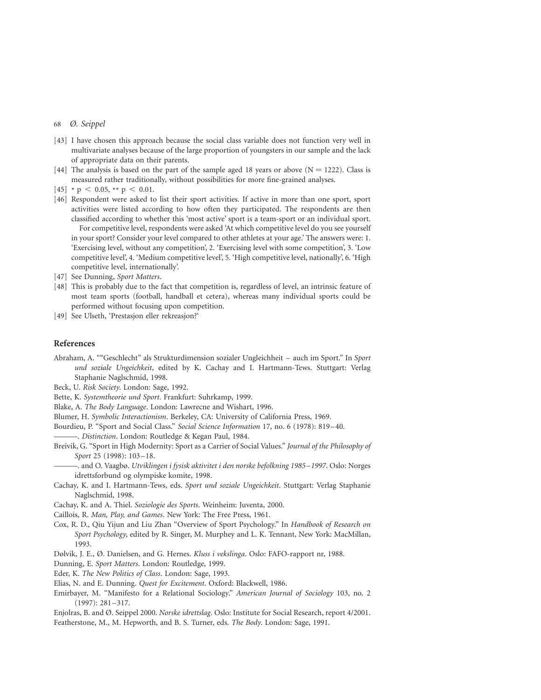- [43] I have chosen this approach because the social class variable does not function very well in multivariate analyses because of the large proportion of youngsters in our sample and the lack of appropriate data on their parents.
- [44] The analysis is based on the part of the sample aged 18 years or above  $(N = 1222)$ . Class is measured rather traditionally, without possibilities for more fine-grained analyses.
- $[45]$  \* p < 0.05, \*\* p < 0.01.
- [46] Respondent were asked to list their sport activities. If active in more than one sport, sport activities were listed according to how often they participated. The respondents are then classified according to whether this 'most active' sport is a team-sport or an individual sport. For competitive level, respondents were asked 'At which competitive level do you see yourself in your sport? Consider your level compared to other athletes at your age.' The answers were: 1. 'Exercising level, without any competition', 2. 'Exercising level with some competition', 3. 'Low competitive level', 4. 'Medium competitive level', 5. 'High competitive level, nationally', 6. 'High competitive level, internationally'.
- [47] See Dunning, Sport Matters.
- [48] This is probably due to the fact that competition is, regardless of level, an intrinsic feature of most team sports (football, handball et cetera), whereas many individual sports could be performed without focusing upon competition.
- [49] See Ulseth, 'Prestasjon eller rekreasjon?'

#### References

- Abraham, A. ""Geschlecht" als Strukturdimension sozialer Ungleichheit auch im Sport." In Sport und soziale Ungeichkeit, edited by K. Cachay and I. Hartmann-Tews. Stuttgart: Verlag Staphanie Naglschmid, 1998.
- Beck, U. Risk Society. London: Sage, 1992.
- Bette, K. Systemtheorie und Sport. Frankfurt: Suhrkamp, 1999.
- Blake, A. The Body Language. London: Lawrecne and Wishart, 1996.
- Blumer, H. Symbolic Interactionism. Berkeley, CA: University of California Press, 1969.
- Bourdieu, P. "Sport and Social Class." Social Science Information 17, no. 6 (1978): 819–40.

———. Distinction. London: Routledge & Kegan Paul, 1984.

Breivik, G. "Sport in High Modernity: Sport as a Carrier of Social Values." Journal of the Philosophy of Sport 25 (1998): 103–18.

———. and O. Vaagbø. Utviklingen i fysisk aktivitet i den norske befolkning 1985 –1997. Oslo: Norges idrettsforbund og olympiske komite, 1998.

- Cachay, K. and I. Hartmann-Tews, eds. Sport und soziale Ungeichkeit. Stuttgart: Verlag Staphanie Naglschmid, 1998.
- Cachay, K. and A. Thiel. Soziologie des Sports. Weinheim: Juventa, 2000.
- Caillois, R. Man, Play, and Games. New York: The Free Press, 1961.
- Cox, R. D., Qiu Yijun and Liu Zhan "Overview of Sport Psychology." In Handbook of Research on Sport Psychology, edited by R. Singer, M. Murphey and L. K. Tennant, New York: MacMillan, 1993.
- Dølvik, J. E., Ø. Danielsen, and G. Hernes. Kluss i vekslinga. Oslo: FAFO-rapport nr, 1988.
- Dunning, E. Sport Matters. London: Routledge, 1999.
- Eder, K. The New Politics of Class. London: Sage, 1993.
- Elias, N. and E. Dunning. Quest for Excitement. Oxford: Blackwell, 1986.
- Emirbayer, M. "Manifesto for a Relational Sociology." American Journal of Sociology 103, no. 2 (1997): 281–317.
- Enjolras, B. and Ø. Seippel 2000. Norske idrettslag. Oslo: Institute for Social Research, report 4/2001.

Featherstone, M., M. Hepworth, and B. S. Turner, eds. The Body. London: Sage, 1991.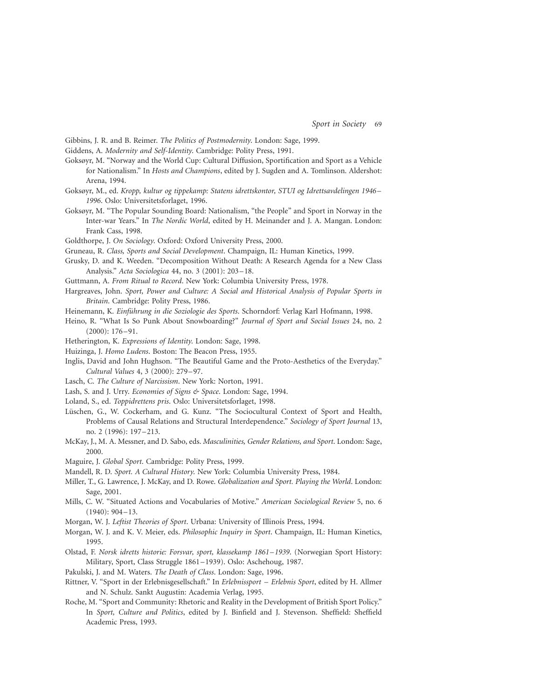Gibbins, J. R. and B. Reimer. The Politics of Postmodernity. London: Sage, 1999.

- Giddens, A. Modernity and Self-Identity. Cambridge: Polity Press, 1991.
- Goksøyr, M. "Norway and the World Cup: Cultural Diffusion, Sportification and Sport as a Vehicle for Nationalism." In Hosts and Champions, edited by J. Sugden and A. Tomlinson. Aldershot: Arena, 1994.
- Goksøyr, M., ed. Kropp, kultur og tippekamp: Statens idrettskontor, STUI og Idrettsavdelingen 1946 1996. Oslo: Universitetsforlaget, 1996.
- Goksøyr, M. "The Popular Sounding Board: Nationalism, "the People" and Sport in Norway in the Inter-war Years." In The Nordic World, edited by H. Meinander and J. A. Mangan. London: Frank Cass, 1998.
- Goldthorpe, J. On Sociology. Oxford: Oxford University Press, 2000.
- Gruneau, R. Class, Sports and Social Development. Champaign, IL: Human Kinetics, 1999.
- Grusky, D. and K. Weeden. "Decomposition Without Death: A Research Agenda for a New Class Analysis." Acta Sociologica 44, no. 3 (2001): 203–18.
- Guttmann, A. From Ritual to Record. New York: Columbia University Press, 1978.
- Hargreaves, John. Sport, Power and Culture: A Social and Historical Analysis of Popular Sports in Britain. Cambridge: Polity Press, 1986.
- Heinemann, K. Einführung in die Soziologie des Sports. Schorndorf: Verlag Karl Hofmann, 1998.
- Heino, R. "What Is So Punk About Snowboarding?" Journal of Sport and Social Issues 24, no. 2 (2000): 176–91.
- Hetherington, K. Expressions of Identity. London: Sage, 1998.
- Huizinga, J. Homo Ludens. Boston: The Beacon Press, 1955.
- Inglis, David and John Hughson. "The Beautiful Game and the Proto-Aesthetics of the Everyday." Cultural Values 4, 3 (2000): 279–97.
- Lasch, C. The Culture of Narcissism. New York: Norton, 1991.
- Lash, S. and J. Urry. Economies of Signs & Space. London: Sage, 1994.
- Loland, S., ed. Toppidrettens pris. Oslo: Universitetsforlaget, 1998.
- Lüschen, G., W. Cockerham, and G. Kunz. "The Sociocultural Context of Sport and Health, Problems of Causal Relations and Structural Interdependence." Sociology of Sport Journal 13, no. 2 (1996): 197–213.
- McKay, J., M. A. Messner, and D. Sabo, eds. Masculinities, Gender Relations, and Sport. London: Sage, 2000.
- Maguire, J. Global Sport. Cambridge: Polity Press, 1999.
- Mandell, R. D. Sport. A Cultural History. New York: Columbia University Press, 1984.
- Miller, T., G. Lawrence, J. McKay, and D. Rowe. Globalization and Sport. Playing the World. London: Sage, 2001.
- Mills, C. W. "Situated Actions and Vocabularies of Motive." American Sociological Review 5, no. 6 (1940): 904–13.
- Morgan, W. J. Leftist Theories of Sport. Urbana: University of Illinois Press, 1994.
- Morgan, W. J. and K. V. Meier, eds. Philosophic Inquiry in Sport. Champaign, IL: Human Kinetics, 1995.
- Olstad, F. Norsk idretts historie: Forsvar, sport, klassekamp 1861 –1939. (Norwegian Sport History: Military, Sport, Class Struggle 1861–1939). Oslo: Aschehoug, 1987.
- Pakulski, J. and M. Waters. The Death of Class. London: Sage, 1996.
- Rittner, V. "Sport in der Erlebnisgesellschaft." In Erlebnissport Erlebnis Sport, edited by H. Allmer and N. Schulz. Sankt Augustin: Academia Verlag, 1995.
- Roche, M. "Sport and Community: Rhetoric and Reality in the Development of British Sport Policy." In Sport, Culture and Politics, edited by J. Binfield and J. Stevenson. Sheffield: Sheffield Academic Press, 1993.